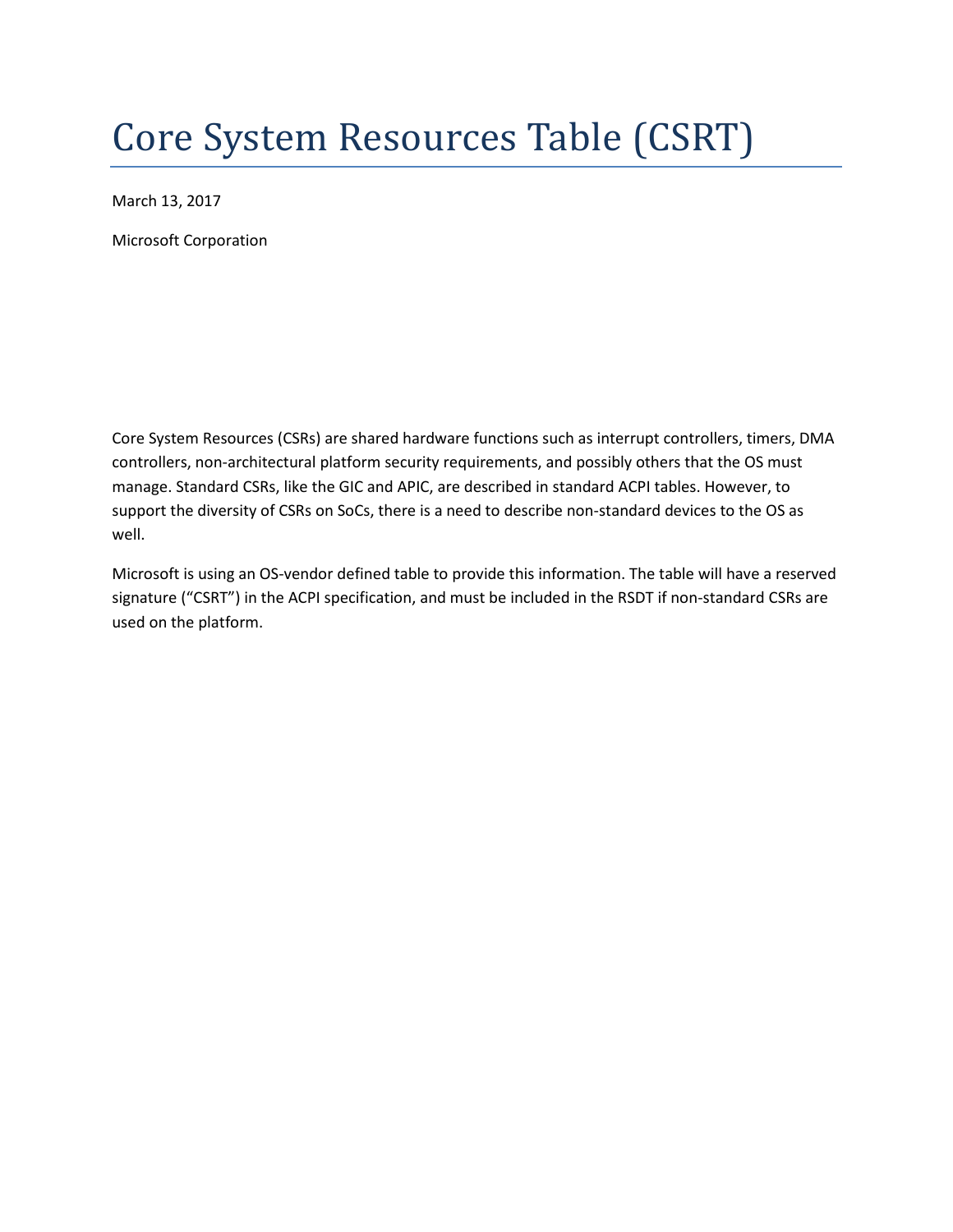# Core System Resources Table (CSRT)

March 13, 2017

Microsoft Corporation

Core System Resources (CSRs) are shared hardware functions such as interrupt controllers, timers, DMA controllers, non-architectural platform security requirements, and possibly others that the OS must manage. Standard CSRs, like the GIC and APIC, are described in standard ACPI tables. However, to support the diversity of CSRs on SoCs, there is a need to describe non-standard devices to the OS as well.

Microsoft is using an OS-vendor defined table to provide this information. The table will have a reserved signature ("CSRT") in the ACPI specification, and must be included in the RSDT if non-standard CSRs are used on the platform.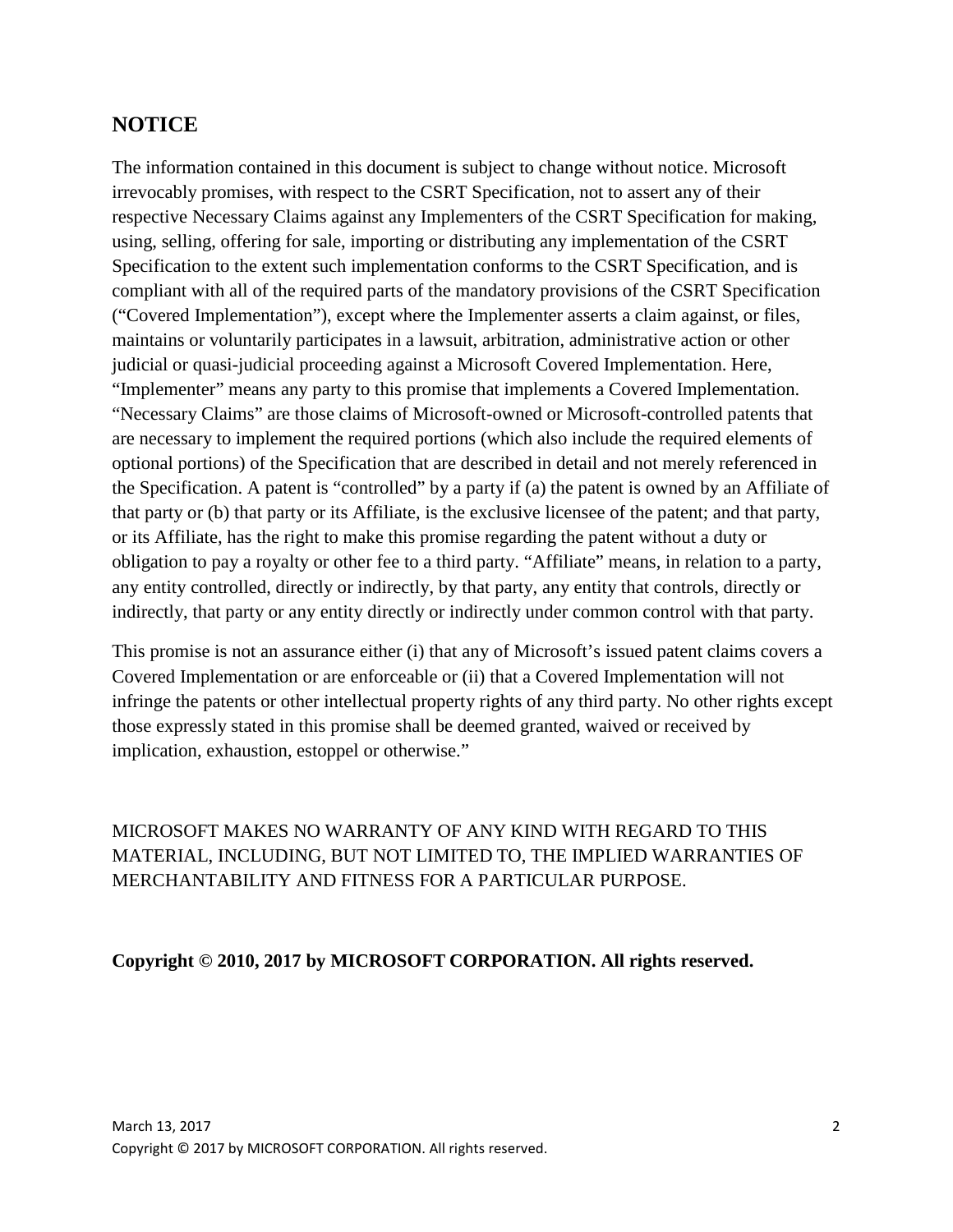### **NOTICE**

The information contained in this document is subject to change without notice. Microsoft irrevocably promises, with respect to the CSRT Specification, not to assert any of their respective Necessary Claims against any Implementers of the CSRT Specification for making, using, selling, offering for sale, importing or distributing any implementation of the CSRT Specification to the extent such implementation conforms to the CSRT Specification, and is compliant with all of the required parts of the mandatory provisions of the CSRT Specification ("Covered Implementation"), except where the Implementer asserts a claim against, or files, maintains or voluntarily participates in a lawsuit, arbitration, administrative action or other judicial or quasi-judicial proceeding against a Microsoft Covered Implementation. Here, "Implementer" means any party to this promise that implements a Covered Implementation. "Necessary Claims" are those claims of Microsoft-owned or Microsoft-controlled patents that are necessary to implement the required portions (which also include the required elements of optional portions) of the Specification that are described in detail and not merely referenced in the Specification. A patent is "controlled" by a party if (a) the patent is owned by an Affiliate of that party or (b) that party or its Affiliate, is the exclusive licensee of the patent; and that party, or its Affiliate, has the right to make this promise regarding the patent without a duty or obligation to pay a royalty or other fee to a third party. "Affiliate" means, in relation to a party, any entity controlled, directly or indirectly, by that party, any entity that controls, directly or indirectly, that party or any entity directly or indirectly under common control with that party.

This promise is not an assurance either (i) that any of Microsoft's issued patent claims covers a Covered Implementation or are enforceable or (ii) that a Covered Implementation will not infringe the patents or other intellectual property rights of any third party. No other rights except those expressly stated in this promise shall be deemed granted, waived or received by implication, exhaustion, estoppel or otherwise."

MICROSOFT MAKES NO WARRANTY OF ANY KIND WITH REGARD TO THIS MATERIAL, INCLUDING, BUT NOT LIMITED TO, THE IMPLIED WARRANTIES OF MERCHANTABILITY AND FITNESS FOR A PARTICULAR PURPOSE.

#### **Copyright © 2010, 2017 by MICROSOFT CORPORATION. All rights reserved.**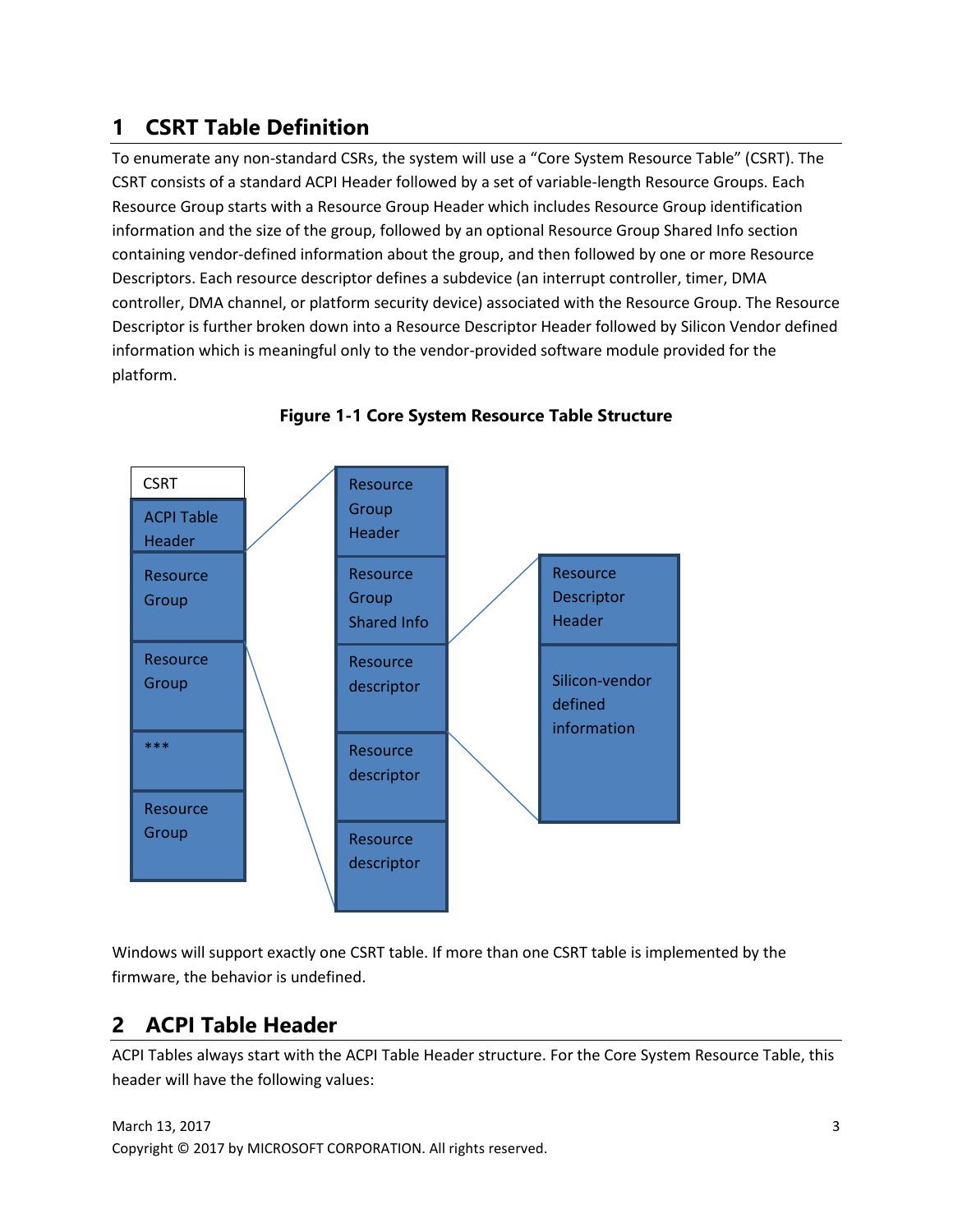# **1 CSRT Table Definition**

To enumerate any non-standard CSRs, the system will use a "Core System Resource Table" (CSRT). The CSRT consists of a standard ACPI Header followed by a set of variable-length Resource Groups. Each Resource Group starts with a Resource Group Header which includes Resource Group identification information and the size of the group, followed by an optional Resource Group Shared Info section containing vendor-defined information about the group, and then followed by one or more Resource Descriptors. Each resource descriptor defines a subdevice (an interrupt controller, timer, DMA controller, DMA channel, or platform security device) associated with the Resource Group. The Resource Descriptor is further broken down into a Resource Descriptor Header followed by Silicon Vendor defined information which is meaningful only to the vendor-provided software module provided for the platform.



**Figure 1-1 Core System Resource Table Structure**

Windows will support exactly one CSRT table. If more than one CSRT table is implemented by the firmware, the behavior is undefined.

# **2 ACPI Table Header**

ACPI Tables always start with the ACPI Table Header structure. For the Core System Resource Table, this header will have the following values: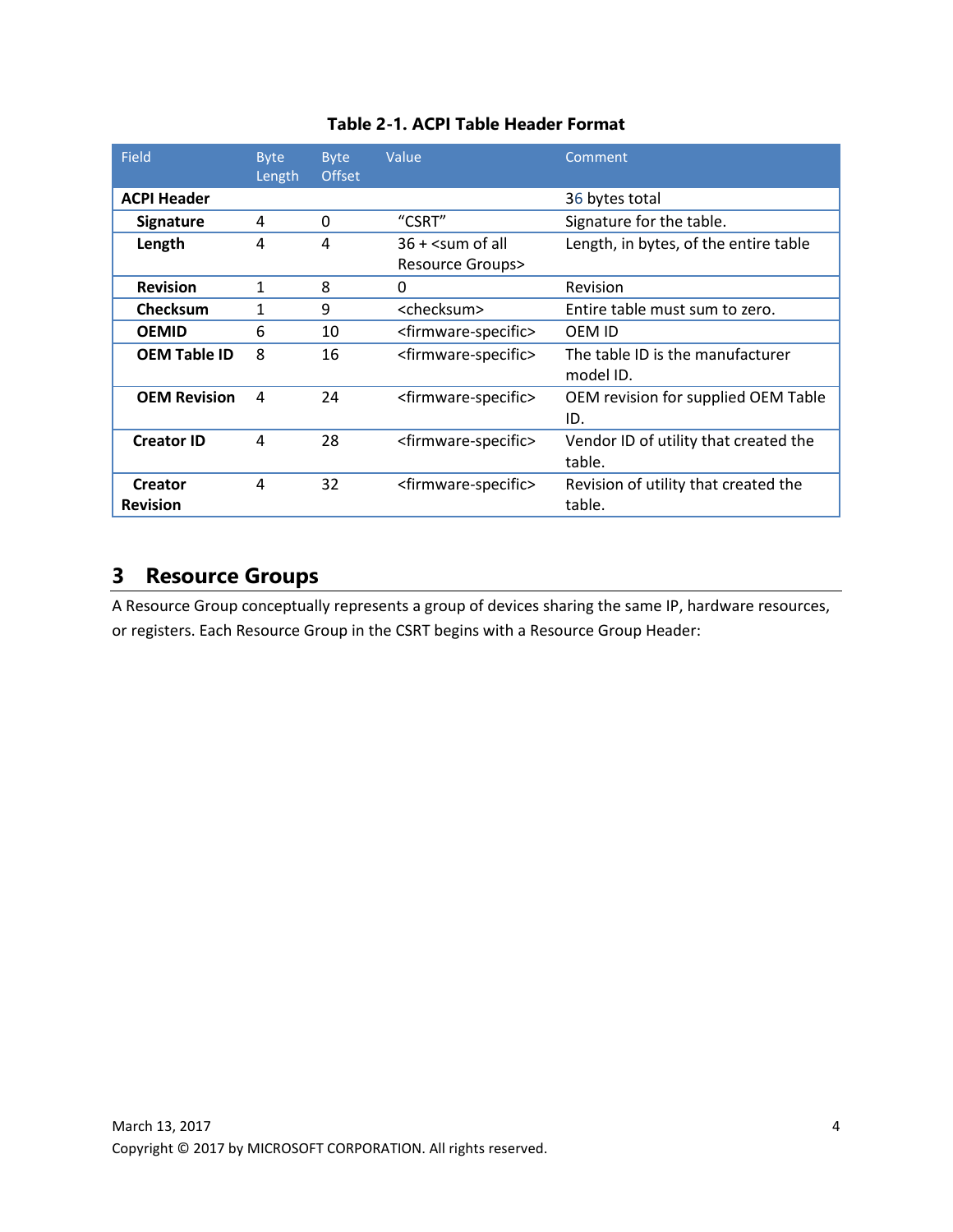| <b>Field</b>        | <b>Byte</b><br>Length | <b>Byte</b><br><b>Offset</b> | Value                                                                                | Comment                                         |
|---------------------|-----------------------|------------------------------|--------------------------------------------------------------------------------------|-------------------------------------------------|
| <b>ACPI Header</b>  |                       |                              |                                                                                      | 36 bytes total                                  |
| <b>Signature</b>    | 4                     | 0                            | "CSRT"                                                                               | Signature for the table.                        |
| Length              | 4                     | 4                            | $36 +$ <sum all<="" of="" th=""><th>Length, in bytes, of the entire table</th></sum> | Length, in bytes, of the entire table           |
|                     |                       |                              | <b>Resource Groups&gt;</b>                                                           |                                                 |
| <b>Revision</b>     | 1                     | 8                            | $\Omega$                                                                             | Revision                                        |
| <b>Checksum</b>     | 1                     | 9                            | <checksum></checksum>                                                                | Entire table must sum to zero.                  |
| <b>OEMID</b>        | 6                     | 10                           | <firmware-specific></firmware-specific>                                              | OEM ID                                          |
| <b>OEM Table ID</b> | 8                     | 16                           | <firmware-specific></firmware-specific>                                              | The table ID is the manufacturer<br>model ID.   |
| <b>OEM Revision</b> | 4                     | 24                           | <firmware-specific></firmware-specific>                                              | OEM revision for supplied OEM Table<br>ID.      |
| <b>Creator ID</b>   | 4                     | 28                           | <firmware-specific></firmware-specific>                                              | Vendor ID of utility that created the<br>table. |
| <b>Creator</b>      | 4                     | 32                           | <firmware-specific></firmware-specific>                                              | Revision of utility that created the            |
| <b>Revision</b>     |                       |                              |                                                                                      | table.                                          |

#### **Table 2-1. ACPI Table Header Format**

## **3 Resource Groups**

A Resource Group conceptually represents a group of devices sharing the same IP, hardware resources, or registers. Each Resource Group in the CSRT begins with a Resource Group Header: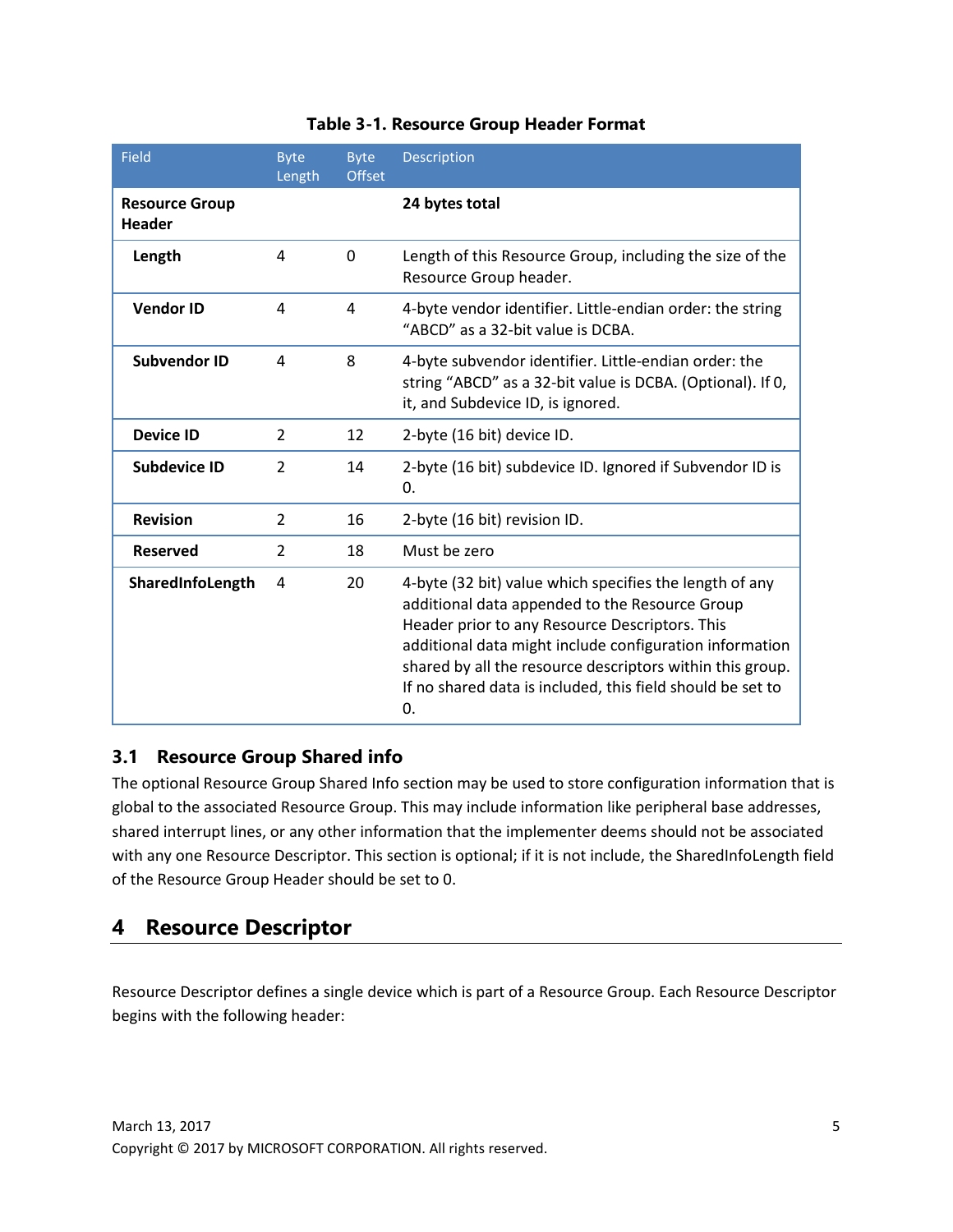| Field                                  | <b>Byte</b><br>Length | <b>Byte</b><br><b>Offset</b> | <b>Description</b>                                                                                                                                                                                                                                                                                                                                      |
|----------------------------------------|-----------------------|------------------------------|---------------------------------------------------------------------------------------------------------------------------------------------------------------------------------------------------------------------------------------------------------------------------------------------------------------------------------------------------------|
| <b>Resource Group</b><br><b>Header</b> |                       |                              | 24 bytes total                                                                                                                                                                                                                                                                                                                                          |
| Length                                 | 4                     | $\Omega$                     | Length of this Resource Group, including the size of the<br>Resource Group header.                                                                                                                                                                                                                                                                      |
| <b>Vendor ID</b>                       | 4                     | 4                            | 4-byte vendor identifier. Little-endian order: the string<br>"ABCD" as a 32-bit value is DCBA.                                                                                                                                                                                                                                                          |
| <b>Subvendor ID</b>                    | 4                     | 8                            | 4-byte subvendor identifier. Little-endian order: the<br>string "ABCD" as a 32-bit value is DCBA. (Optional). If 0,<br>it, and Subdevice ID, is ignored.                                                                                                                                                                                                |
| <b>Device ID</b>                       | $\mathcal{P}$         | 12                           | 2-byte (16 bit) device ID.                                                                                                                                                                                                                                                                                                                              |
| Subdevice ID                           | $\mathcal{P}$         | 14                           | 2-byte (16 bit) subdevice ID. Ignored if Subvendor ID is<br>$\mathbf{0}$ .                                                                                                                                                                                                                                                                              |
| <b>Revision</b>                        | $\mathcal{P}$         | 16                           | 2-byte (16 bit) revision ID.                                                                                                                                                                                                                                                                                                                            |
| <b>Reserved</b>                        | $\mathcal{P}$         | 18                           | Must be zero                                                                                                                                                                                                                                                                                                                                            |
| SharedInfoLength                       | 4                     | 20                           | 4-byte (32 bit) value which specifies the length of any<br>additional data appended to the Resource Group<br>Header prior to any Resource Descriptors. This<br>additional data might include configuration information<br>shared by all the resource descriptors within this group.<br>If no shared data is included, this field should be set to<br>0. |

#### **Table 3-1. Resource Group Header Format**

#### **3.1 Resource Group Shared info**

The optional Resource Group Shared Info section may be used to store configuration information that is global to the associated Resource Group. This may include information like peripheral base addresses, shared interrupt lines, or any other information that the implementer deems should not be associated with any one Resource Descriptor. This section is optional; if it is not include, the SharedInfoLength field of the Resource Group Header should be set to 0.

## **4 Resource Descriptor**

Resource Descriptor defines a single device which is part of a Resource Group. Each Resource Descriptor begins with the following header: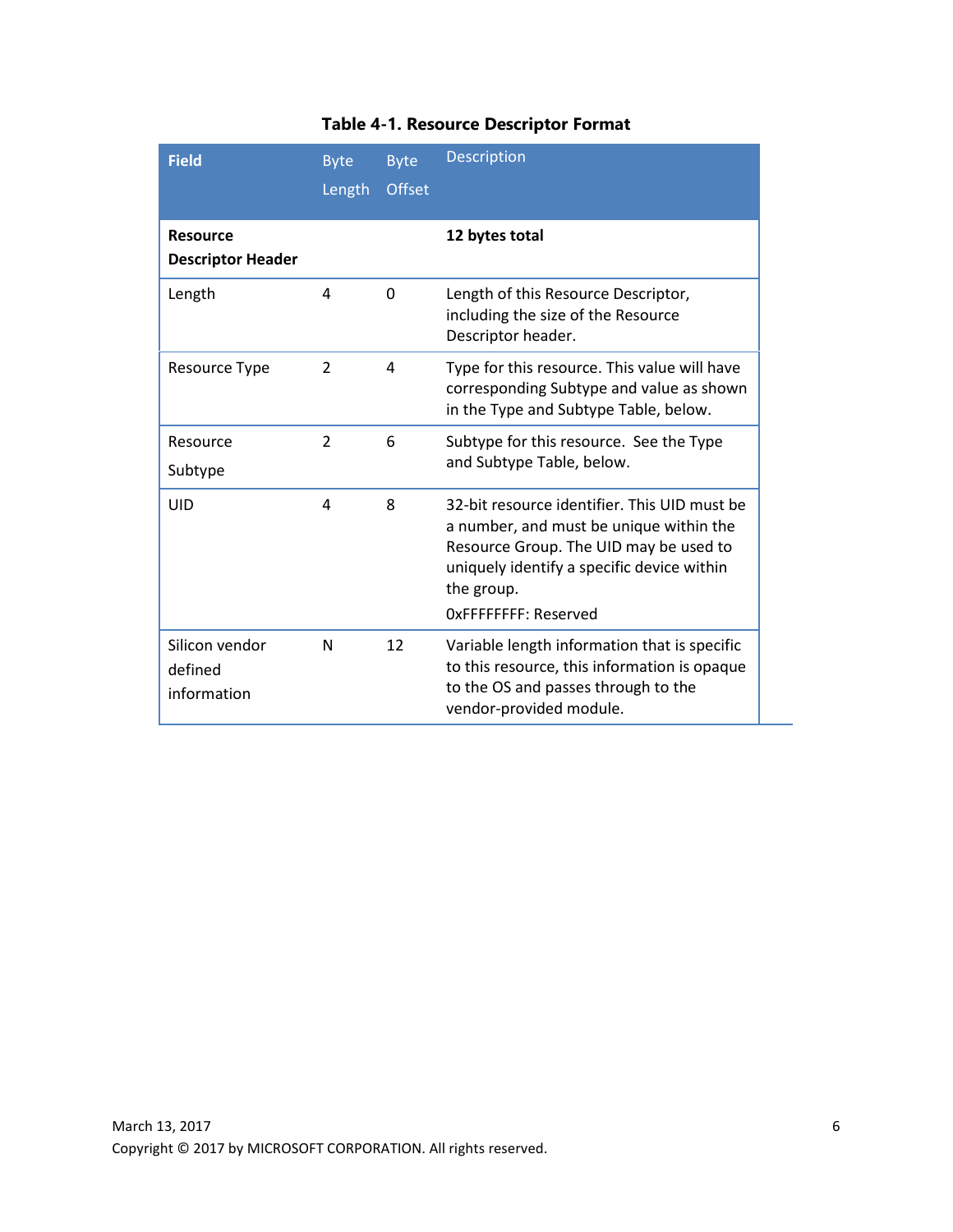| <b>Field</b>                                | <b>Byte</b><br>Length | <b>Byte</b><br><b>Offset</b> | <b>Description</b>                                                                                                                                                                                                    |
|---------------------------------------------|-----------------------|------------------------------|-----------------------------------------------------------------------------------------------------------------------------------------------------------------------------------------------------------------------|
| <b>Resource</b><br><b>Descriptor Header</b> |                       |                              | 12 bytes total                                                                                                                                                                                                        |
| Length                                      | 4                     | 0                            | Length of this Resource Descriptor,<br>including the size of the Resource<br>Descriptor header.                                                                                                                       |
| <b>Resource Type</b>                        | $\overline{2}$        | 4                            | Type for this resource. This value will have<br>corresponding Subtype and value as shown<br>in the Type and Subtype Table, below.                                                                                     |
| Resource<br>Subtype                         | $\mathcal{P}$         | 6                            | Subtype for this resource. See the Type<br>and Subtype Table, below.                                                                                                                                                  |
| UID                                         | 4                     | 8                            | 32-bit resource identifier. This UID must be<br>a number, and must be unique within the<br>Resource Group. The UID may be used to<br>uniquely identify a specific device within<br>the group.<br>OxFFFFFFFF: Reserved |
| Silicon vendor<br>defined<br>information    | N                     | 12                           | Variable length information that is specific<br>to this resource, this information is opaque<br>to the OS and passes through to the<br>vendor-provided module.                                                        |

## **Table 4-1. Resource Descriptor Format**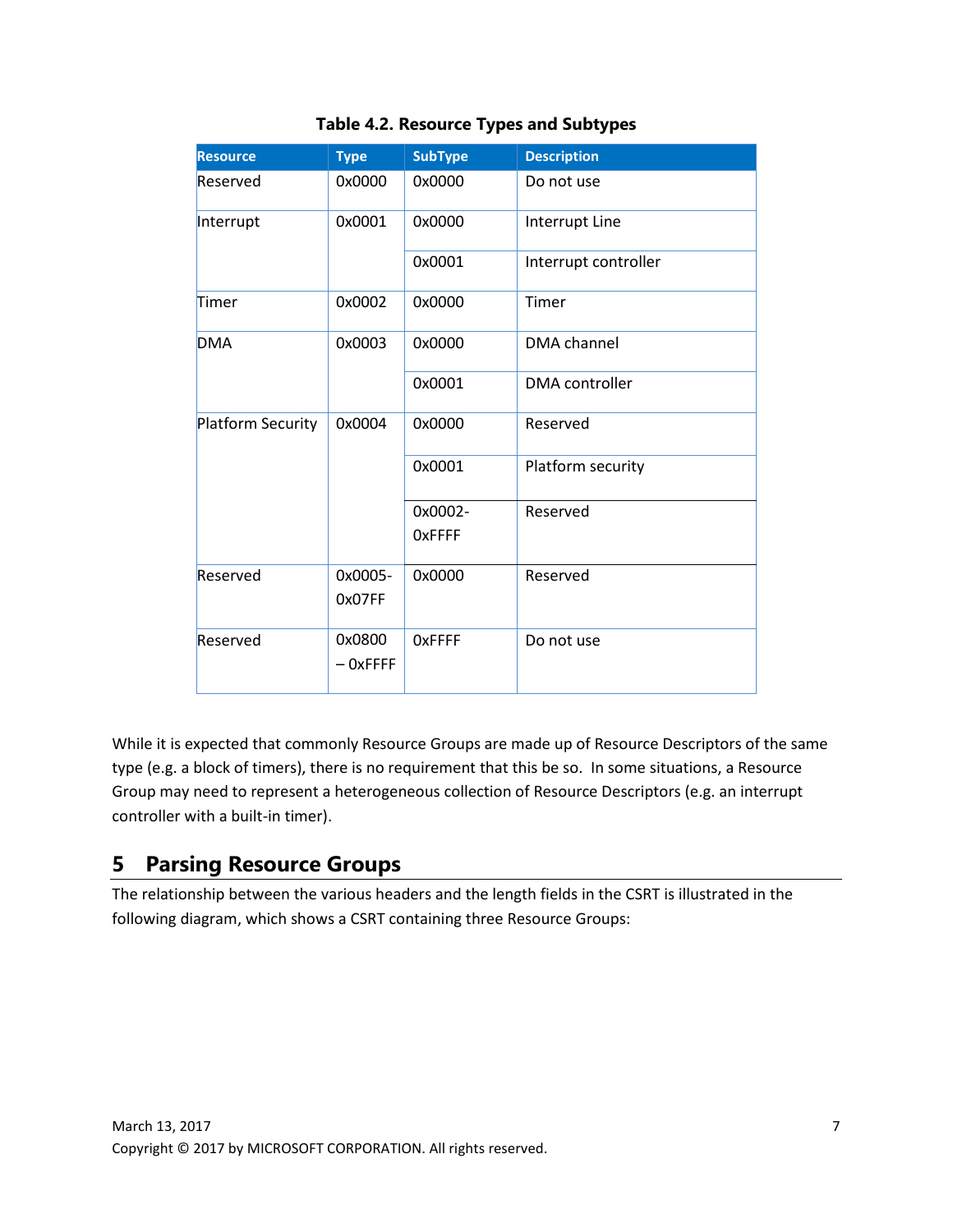| <b>Resource</b>   | <b>Type</b>          | <b>SubType</b>           | <b>Description</b>    |
|-------------------|----------------------|--------------------------|-----------------------|
| Reserved          | 0x0000               | 0x0000                   | Do not use            |
| Interrupt         | 0x0001               | 0x0000                   | Interrupt Line        |
|                   |                      | 0x0001                   | Interrupt controller  |
| Timer             | 0x0002               | 0x0000                   | Timer                 |
| <b>DMA</b>        | 0x0003               | 0x0000                   | <b>DMA</b> channel    |
|                   |                      | 0x0001                   | <b>DMA</b> controller |
| Platform Security | 0x0004               | 0x0000                   | Reserved              |
|                   |                      | 0x0001                   | Platform security     |
|                   |                      | 0x0002-<br><b>OxFFFF</b> | Reserved              |
| Reserved          | 0x0005-<br>0x07FF    | 0x0000                   | Reserved              |
| Reserved          | 0x0800<br>$-$ OxFFFF | <b>OxFFFF</b>            | Do not use            |

#### **Table 4.2. Resource Types and Subtypes**

While it is expected that commonly Resource Groups are made up of Resource Descriptors of the same type (e.g. a block of timers), there is no requirement that this be so. In some situations, a Resource Group may need to represent a heterogeneous collection of Resource Descriptors (e.g. an interrupt controller with a built-in timer).

## **5 Parsing Resource Groups**

The relationship between the various headers and the length fields in the CSRT is illustrated in the following diagram, which shows a CSRT containing three Resource Groups: